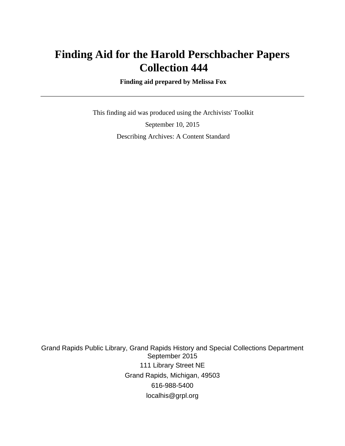## **Finding Aid for the Harold Perschbacher Papers Collection 444**

 **Finding aid prepared by Melissa Fox**

 This finding aid was produced using the Archivists' Toolkit September 10, 2015 Describing Archives: A Content Standard

Grand Rapids Public Library, Grand Rapids History and Special Collections Department September 2015 111 Library Street NE Grand Rapids, Michigan, 49503 616-988-5400 localhis@grpl.org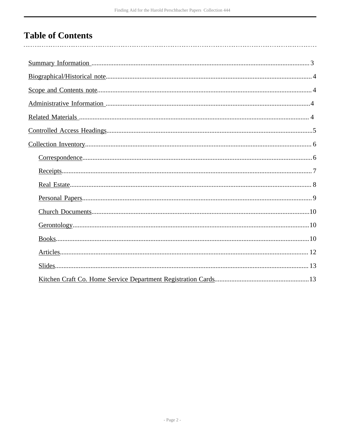# **Table of Contents**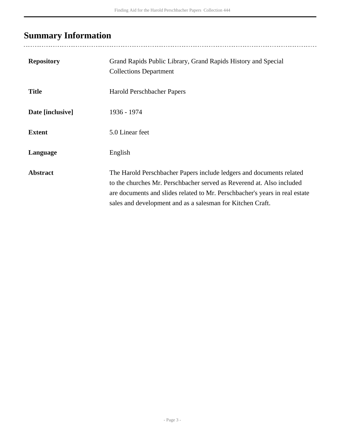# <span id="page-2-0"></span>**Summary Information**

| <b>Repository</b> | Grand Rapids Public Library, Grand Rapids History and Special<br><b>Collections Department</b>                                                                                                                                                                                             |
|-------------------|--------------------------------------------------------------------------------------------------------------------------------------------------------------------------------------------------------------------------------------------------------------------------------------------|
| <b>Title</b>      | Harold Perschbacher Papers                                                                                                                                                                                                                                                                 |
| Date [inclusive]  | 1936 - 1974                                                                                                                                                                                                                                                                                |
| <b>Extent</b>     | 5.0 Linear feet                                                                                                                                                                                                                                                                            |
| Language          | English                                                                                                                                                                                                                                                                                    |
| <b>Abstract</b>   | The Harold Perschbacher Papers include ledgers and documents related<br>to the churches Mr. Perschbacher served as Reverend at. Also included<br>are documents and slides related to Mr. Perschbacher's years in real estate<br>sales and development and as a salesman for Kitchen Craft. |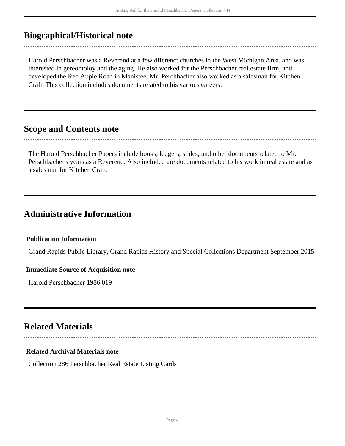### <span id="page-3-0"></span>**Biographical/Historical note**

Harold Perschbacher was a Reverend at a few diferenct churches in the West Michigan Area, and was interested in gereontoloy and the aging. He also worked for the Perschbacher real estate firm, and developed the Red Apple Road in Manistee. Mr. Perchbacher also worked as a salesman for Kitchen Craft. This collection includes documents related to his various careers.

### <span id="page-3-1"></span>**Scope and Contents note**

The Harold Perschbacher Papers include books, ledgers, slides, and other documents related to Mr. Perschbacher's years as a Reverend. Also included are documents related to his work in real estate and as a salesman for Kitchen Craft.

### <span id="page-3-2"></span>**Administrative Information**

#### **Publication Information**

Grand Rapids Public Library, Grand Rapids History and Special Collections Department September 2015

#### **Immediate Source of Acquisition note**

Harold Perschbacher 1986.019

## <span id="page-3-3"></span>**Related Materials**

#### **Related Archival Materials note**

Collection 286 Perschbacher Real Estate Listing Cards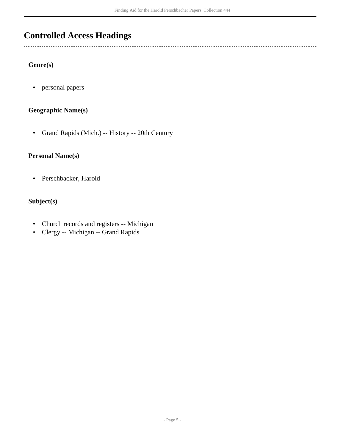## <span id="page-4-0"></span>**Controlled Access Headings**

#### **Genre(s)**

 $\overline{a}$ 

• personal papers

#### **Geographic Name(s)**

• Grand Rapids (Mich.) -- History -- 20th Century

#### **Personal Name(s)**

• Perschbacker, Harold

#### **Subject(s)**

- Church records and registers -- Michigan
- Clergy -- Michigan -- Grand Rapids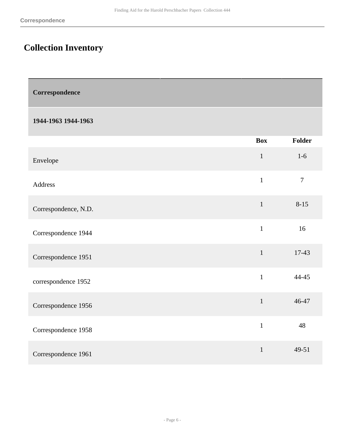# <span id="page-5-0"></span>**Collection Inventory**

<span id="page-5-1"></span>

| Correspondence |
|----------------|
|----------------|

#### **1944-1963 1944-1963**

|                      | <b>Box</b>   | Folder         |
|----------------------|--------------|----------------|
| Envelope             | $\mathbf{1}$ | $1-6$          |
| Address              | $\mathbf{1}$ | $\overline{7}$ |
| Correspondence, N.D. | $\mathbf{1}$ | $8 - 15$       |
| Correspondence 1944  | $\mathbf{1}$ | 16             |
| Correspondence 1951  | $\mathbf{1}$ | 17-43          |
| correspondence 1952  | $\mathbf{1}$ | 44-45          |
| Correspondence 1956  | $\mathbf{1}$ | 46-47          |
| Correspondence 1958  | $\mathbf{1}$ | 48             |
| Correspondence 1961  | $\mathbf{1}$ | 49-51          |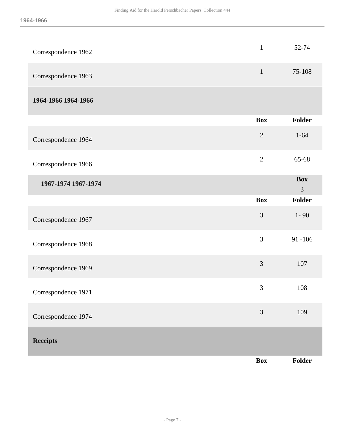<span id="page-6-0"></span>

| Correspondence 1962 | $\mathbf{1}$   | 52-74                        |
|---------------------|----------------|------------------------------|
| Correspondence 1963 | $\mathbf{1}$   | 75-108                       |
| 1964-1966 1964-1966 |                |                              |
|                     | <b>Box</b>     | <b>Folder</b>                |
| Correspondence 1964 | $\overline{2}$ | $1 - 64$                     |
| Correspondence 1966 | $\overline{2}$ | 65-68                        |
| 1967-1974 1967-1974 |                | <b>Box</b><br>$\mathfrak{Z}$ |
|                     | <b>Box</b>     | <b>Folder</b>                |
| Correspondence 1967 | 3              | $1 - 90$                     |
| Correspondence 1968 | 3              | $91 - 106$                   |
| Correspondence 1969 | 3              | 107                          |
| Correspondence 1971 | 3              | 108                          |
| Correspondence 1974 | 3              | 109                          |
| <b>Receipts</b>     |                |                              |
|                     | <b>Box</b>     | Folder                       |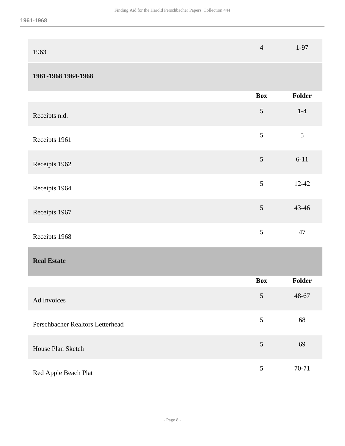| 1963 | 4 | $1-97$ |
|------|---|--------|
|      |   |        |

### **1961-1968 1964-1968**

<span id="page-7-0"></span>

|                                  | <b>Box</b> | Folder    |
|----------------------------------|------------|-----------|
| Receipts n.d.                    | $\sqrt{5}$ | $1-4$     |
| Receipts 1961                    | 5          | 5         |
| Receipts 1962                    | $\sqrt{5}$ | $6 - 11$  |
| Receipts 1964                    | 5          | $12 - 42$ |
| Receipts 1967                    | 5          | 43-46     |
| Receipts 1968                    | 5          | 47        |
| <b>Real Estate</b>               |            |           |
|                                  | <b>Box</b> | Folder    |
| Ad Invoices                      | $\sqrt{5}$ | 48-67     |
| Perschbacher Realtors Letterhead | 5          | 68        |
| House Plan Sketch                | 5          | 69        |
| Red Apple Beach Plat             | 5          | 70-71     |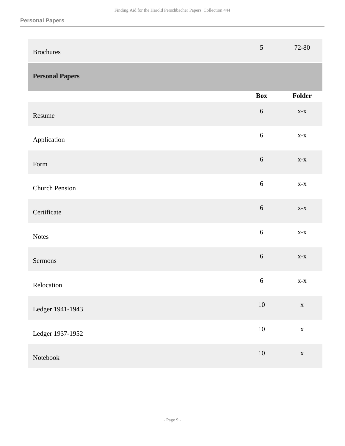<span id="page-8-0"></span>

| <b>Brochures</b>       | $\mathfrak{S}$ | 72-80                          |
|------------------------|----------------|--------------------------------|
| <b>Personal Papers</b> |                |                                |
|                        | <b>Box</b>     | Folder                         |
| Resume                 | $\sqrt{6}$     | $\mathbf{X}\text{-}\mathbf{X}$ |
| Application            | $\sqrt{6}$     | $X-X$                          |
| Form                   | $\sqrt{6}$     | $\mathbf{X}$ - $\mathbf{X}$    |
| <b>Church Pension</b>  | $\sqrt{6}$     | $\mathbf{X}$ - $\mathbf{X}$    |
| Certificate            | $\sqrt{6}$     | $X-X$                          |
| <b>Notes</b>           | $\sqrt{6}$     | $\mathbf{X}$ - $\mathbf{X}$    |
| Sermons                | $\sqrt{6}$     | $\mathbf{X}\text{-}\mathbf{X}$ |
| Relocation             | 6              | $\mathbf{X}$ - $\mathbf{X}$    |
| Ledger 1941-1943       | 10             | $\mathbf X$                    |
| Ledger 1937-1952       | $10\,$         | $\mathbf X$                    |
| Notebook               | $10\,$         | $\mathbf X$                    |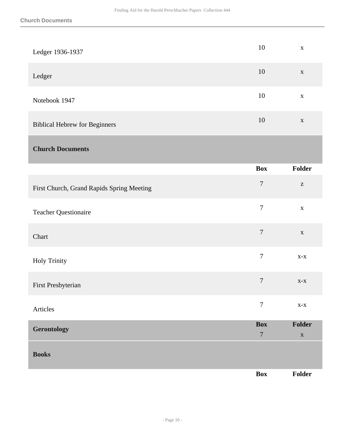<span id="page-9-2"></span><span id="page-9-1"></span><span id="page-9-0"></span>

| Ledger 1936-1937                          | 10                             | $\mathbf X$                                           |
|-------------------------------------------|--------------------------------|-------------------------------------------------------|
| Ledger                                    | 10                             | $\mathbf X$                                           |
| Notebook 1947                             | $10\,$                         | $\mathbf X$                                           |
| <b>Biblical Hebrew for Beginners</b>      | 10                             | $\mathbf X$                                           |
| <b>Church Documents</b>                   |                                |                                                       |
|                                           | <b>Box</b>                     | Folder                                                |
| First Church, Grand Rapids Spring Meeting | $\tau$                         | $\mathbf{Z}% ^{T}=\mathbf{Z}^{T}\times\mathbf{Z}^{T}$ |
| <b>Teacher Questionaire</b>               | $\boldsymbol{7}$               | $\mathbf X$                                           |
| Chart                                     | $\overline{7}$                 | $\mathbf X$                                           |
| <b>Holy Trinity</b>                       | $\boldsymbol{7}$               | $\mathbf{X}$ - $\mathbf{X}$                           |
| First Presbyterian                        | $\overline{7}$                 | $X-X$                                                 |
| Articles                                  | $\overline{7}$                 | $\mathbf{X}$ - $\mathbf{X}$                           |
| Gerontology                               | <b>Box</b><br>$\boldsymbol{7}$ | Folder<br>$\mathbf X$                                 |
| <b>Books</b>                              |                                |                                                       |
|                                           | Box                            | Folder                                                |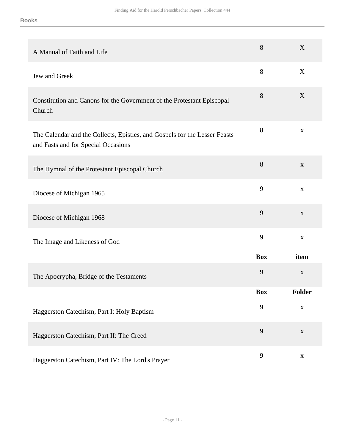| A Manual of Faith and Life                                                                                        | 8          | X            |
|-------------------------------------------------------------------------------------------------------------------|------------|--------------|
| Jew and Greek                                                                                                     | $8\,$      | X            |
| Constitution and Canons for the Government of the Protestant Episcopal<br>Church                                  | 8          | X            |
| The Calendar and the Collects, Epistles, and Gospels for the Lesser Feasts<br>and Fasts and for Special Occasions | 8          | $\mathbf X$  |
| The Hymnal of the Protestant Episcopal Church                                                                     | 8          | $\mathbf{X}$ |
| Diocese of Michigan 1965                                                                                          | 9          | $\mathbf X$  |
| Diocese of Michigan 1968                                                                                          | 9          | $\mathbf{X}$ |
| The Image and Likeness of God                                                                                     | 9          | $\mathbf X$  |
|                                                                                                                   | <b>Box</b> | item         |
| The Apocrypha, Bridge of the Testaments                                                                           | 9          | $\mathbf{X}$ |
|                                                                                                                   | Box        | Folder       |
| Haggerston Catechism, Part I: Holy Baptism                                                                        | 9          | $\mathbf X$  |
| Haggerston Catechism, Part II: The Creed                                                                          | 9          | $\mathbf X$  |
| Haggerston Catechism, Part IV: The Lord's Prayer                                                                  | 9          | $\mathbf X$  |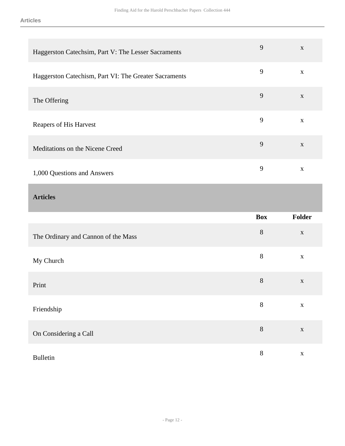<span id="page-11-0"></span>

| Haggerston Catechsim, Part V: The Lesser Sacraments   | 9          | $\mathbf X$ |
|-------------------------------------------------------|------------|-------------|
| Haggerston Catechism, Part VI: The Greater Sacraments | 9          | $\mathbf X$ |
| The Offering                                          | 9          | $\mathbf X$ |
| Reapers of His Harvest                                | 9          | $\mathbf X$ |
| Meditations on the Nicene Creed                       | 9          | $\mathbf X$ |
| 1,000 Questions and Answers                           | 9          | $\mathbf X$ |
|                                                       |            |             |
| <b>Articles</b>                                       |            |             |
|                                                       | <b>Box</b> | Folder      |
| The Ordinary and Cannon of the Mass                   | 8          | $\mathbf X$ |
| My Church                                             | 8          | $\mathbf X$ |
| Print                                                 | 8          | $\mathbf X$ |
| Friendship                                            | $8\,$      | $\mathbf X$ |

Bulletin 8 x